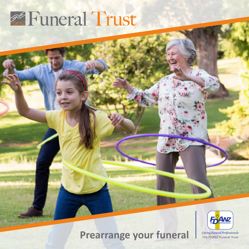

## **Prearrange your funeral** The FDANZ Funeral Trust

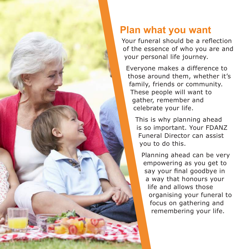

# **Plan what you want**

Your funeral should be a reflection of the essence of who you are and your personal life journey.

Everyone makes a difference to those around them, whether it's family, friends or community. These people will want to gather, remember and celebrate your life.

This is why planning ahead is so important. Your FDANZ Funeral Director can assist you to do this.

Planning ahead can be very empowering as you get to say your final goodbye in a way that honours your life and allows those organising your funeral to focus on gathering and remembering your life.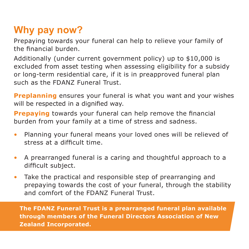# **Why pay now?**

Prepaying towards your funeral can help to relieve your family of the financial burden.

Additionally (under current government policy) up to \$10,000 is excluded from asset testing when assessing eligibility for a subsidy or long-term residential care, if it is in preapproved funeral plan such as the FDANZ Funeral Trust.

**Preplanning** ensures your funeral is what you want and your wishes will be respected in a dignified way.

**Prepaying** towards your funeral can help remove the financial burden from your family at a time of stress and sadness.

- Planning your funeral means your loved ones will be relieved of stress at a difficult time.
- A prearranged funeral is a caring and thoughtful approach to a difficult subject.
- Take the practical and responsible step of prearranging and prepaying towards the cost of your funeral, through the stability and comfort of the FDANZ Funeral Trust.

**The FDANZ Funeral Trust is a prearranged funeral plan available through members of the Funeral Directors Association of New Zealand Incorporated.**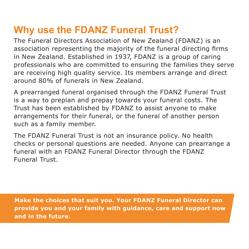## **Why use the FDANZ Funeral Trust?**

The Funeral Directors Association of New Zealand (FDANZ) is an association representing the majority of the funeral directing firms in New Zealand. Established in 1937, FDANZ is a group of caring professionals who are committed to ensuring the families they serve are receiving high quality service. Its members arrange and direct around 80% of funerals in New Zealand.

A prearranged funeral organised through the FDANZ Funeral Trust is a way to preplan and prepay towards your funeral costs. The Trust has been established by FDANZ to assist anyone to make arrangements for their funeral, or the funeral of another person such as a family member.

The FDANZ Funeral Trust is not an insurance policy. No health checks or personal questions are needed. Anyone can prearrange a funeral with an FDANZ Funeral Director through the FDANZ Funeral Trust.

**Make the choices that suit you. Your FDANZ Funeral Director can provide you and your family with guidance, care and support now and in the future.**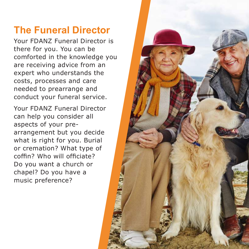## **The Funeral Director**

Your FDANZ Funeral Director is there for you. You can be comforted in the knowledge you are receiving advice from an expert who understands the costs, processes and care needed to prearrange and conduct your funeral service.

Your FDANZ Funeral Director can help you consider all aspects of your prearrangement but you decide what is right for you. Burial or cremation? What type of coffin? Who will officiate? Do you want a church or chapel? Do you have a music preference?

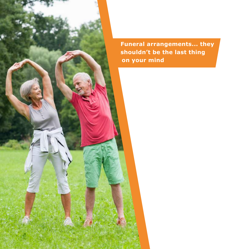

**Funeral arrangements... they shouldn't be the last thing on your mind**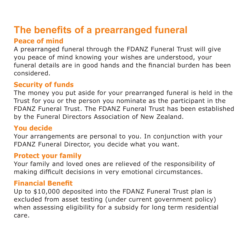# **The benefits of a prearranged funeral**

## **Peace of mind**

A prearranged funeral through the FDANZ Funeral Trust will give you peace of mind knowing your wishes are understood, your funeral details are in good hands and the financial burden has been considered.

#### **Security of funds**

The money you put aside for your prearranged funeral is held in the Trust for you or the person you nominate as the participant in the FDANZ Funeral Trust. The FDANZ Funeral Trust has been established by the Funeral Directors Association of New Zealand.

#### **You decide**

Your arrangements are personal to you. In conjunction with your FDANZ Funeral Director, you decide what you want.

## **Protect your family**

Your family and loved ones are relieved of the responsibility of making difficult decisions in very emotional circumstances.

#### **Financial Benefit**

Up to \$10,000 deposited into the FDANZ Funeral Trust plan is excluded from asset testing (under current government policy) when assessing eligibility for a subsidy for long term residential care.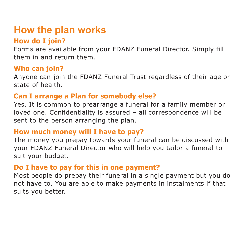## **How the plan works**

## **How do I join?**

Forms are available from your FDANZ Funeral Director. Simply fill them in and return them.

#### **Who can join?**

Anyone can join the FDANZ Funeral Trust regardless of their age or state of health.

## **Can I arrange a Plan for somebody else?**

Yes. It is common to prearrange a funeral for a family member or loved one. Confidentiality is assured – all correspondence will be sent to the person arranging the plan.

## **How much money will I have to pay?**

The money you prepay towards your funeral can be discussed with your FDANZ Funeral Director who will help you tailor a funeral to suit your budget.

### **Do I have to pay for this in one payment?**

Most people do prepay their funeral in a single payment but you do not have to. You are able to make payments in instalments if that suits you better.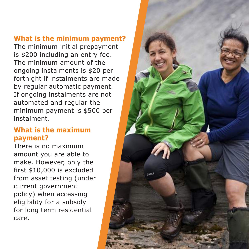## **What is the minimum payment?**

The minimum initial prepayment is \$200 including an entry fee. The minimum amount of the ongoing instalments is \$20 per fortnight if instalments are made by regular automatic payment. If ongoing instalments are not automated and regular the minimum payment is \$500 per instalment.

#### **What is the maximum payment?**

There is no maximum amount you are able to make. However, only the first \$10,000 is excluded from asset testing (under current government policy) when accessing eligibility for a subsidy for long term residential care.

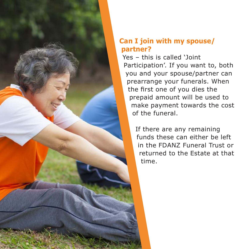

## **Can I join with my spouse/ partner?**

Yes – this is called 'Joint Participation'. If you want to, both you and your spouse/partner can prearrange your funerals. When the first one of you dies the prepaid amount will be used to make payment towards the cost of the funeral.

> If there are any remaining funds these can either be left in the FDANZ Funeral Trust or returned to the Estate at that time.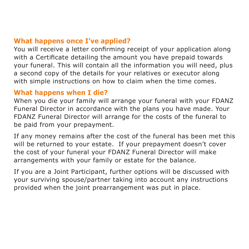## **What happens once I've applied?**

You will receive a letter confirming receipt of your application along with a Certificate detailing the amount you have prepaid towards your funeral. This will contain all the information you will need, plus a second copy of the details for your relatives or executor along with simple instructions on how to claim when the time comes.

#### **What happens when I die?**

When you die your family will arrange your funeral with your FDANZ Funeral Director in accordance with the plans you have made. Your FDANZ Funeral Director will arrange for the costs of the funeral to be paid from your prepayment.

If any money remains after the cost of the funeral has been met this will be returned to your estate. If your prepayment doesn't cover the cost of your funeral your FDANZ Funeral Director will make arrangements with your family or estate for the balance.

If you are a Joint Participant, further options will be discussed with your surviving spouse/partner taking into account any instructions provided when the joint prearrangement was put in place.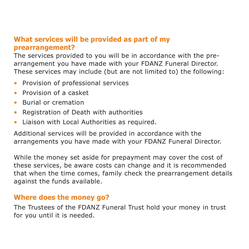### **What services will be provided as part of my prearrangement?**

The services provided to you will be in accordance with the prearrangement you have made with your FDANZ Funeral Director. These services may include (but are not limited to) the following:

- Provision of professional services
- Provision of a casket
- Burial or cremation
- Registration of Death with authorities
- Liaison with Local Authorities as required.

Additional services will be provided in accordance with the arrangements you have made with your FDANZ Funeral Director.

While the money set aside for prepayment may cover the cost of these services, be aware costs can change and it is recommended that when the time comes, family check the prearrangement details against the funds available.

#### **Where does the money go?**

The Trustees of the FDANZ Funeral Trust hold your money in trust for you until it is needed.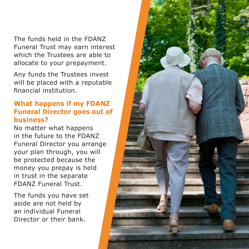The funds held in the FDANZ Funeral Trust may earn interest which the Trustees are able to allocate to your prepayment.

Any funds the Trustees invest will be placed with a reputable financial institution.

#### **What happens if my FDANZ Funeral Director goes out of business?**

No matter what happens in the future to the FDANZ Funeral Director you arrange your plan through, you will be protected because the money you prepay is held in trust in the separate FDANZ Funeral Trust.

The funds you have set aside are not held by an individual Funeral Director or their bank.

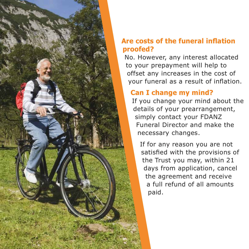## **Are costs of the funeral inflation proofed?**

No. However, any interest allocated to your prepayment will help to offset any increases in the cost of your funeral as a result of inflation.

## **Can I change my mind?**

If you change your mind about the details of your prearrangement, simply contact your FDANZ Funeral Director and make the necessary changes.

If for any reason you are not satisfied with the provisions of the Trust you may, within 21 days from application, cancel the agreement and receive a full refund of all amounts paid.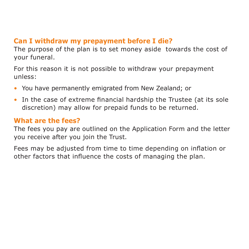## **Can I withdraw my prepayment before I die?**

The purpose of the plan is to set money aside towards the cost of your funeral.

For this reason it is not possible to withdraw your prepayment unless:

- You have permanently emigrated from New Zealand; or
- In the case of extreme financial hardship the Trustee (at its sole discretion) may allow for prepaid funds to be returned.

#### **What are the fees?**

The fees you pay are outlined on the Application Form and the letter you receive after you join the Trust.

Fees may be adjusted from time to time depending on inflation or other factors that influence the costs of managing the plan.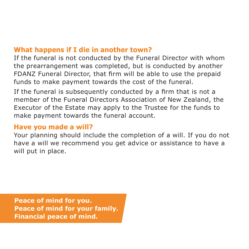#### **What happens if I die in another town?**

If the funeral is not conducted by the Funeral Director with whom the prearrangement was completed, but is conducted by another FDANZ Funeral Director, that firm will be able to use the prepaid funds to make payment towards the cost of the funeral.

If the funeral is subsequently conducted by a firm that is not a member of the Funeral Directors Association of New Zealand, the Executor of the Estate may apply to the Trustee for the funds to make payment towards the funeral account.

#### **Have you made a will?**

Your planning should include the completion of a will. If you do not have a will we recommend you get advice or assistance to have a will put in place.

**Peace of mind for you. Peace of mind for your family. Financial peace of mind.**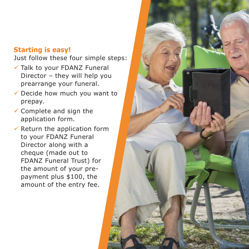#### **Starting is easy!**

Just follow these four simple steps:

- $\checkmark$  Talk to your FDANZ Funeral Director – they will help you prearrange your funeral.
- $\checkmark$  Decide how much you want to prepay.
- $\checkmark$  Complete and sign the application form.
- $\checkmark$  Return the application form to your FDANZ Funeral Director along with a cheque (made out to FDANZ Funeral Trust) for the amount of your prepayment plus \$100, the amount of the entry fee.

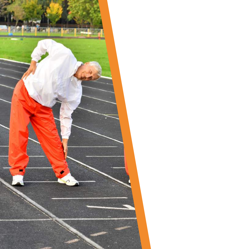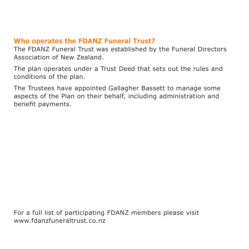## **Who operates the FDANZ Funeral Trust?**

The FDANZ Funeral Trust was established by the Funeral Directors Association of New Zealand.

The plan operates under a Trust Deed that sets out the rules and conditions of the plan.

The Trustees have appointed Gallagher Bassett to manage some aspects of the Plan on their behalf, including administration and benefit payments.

For a full list of participating FDANZ members please visit www.fdanzfuneraltrust.co.nz